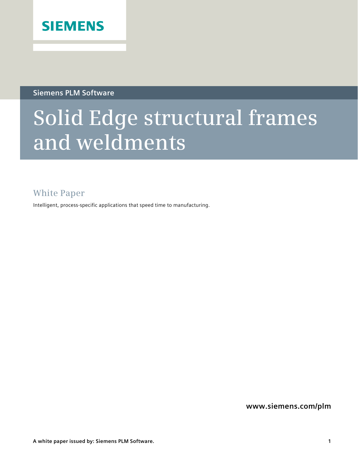

**Siemens PLM Software** 

# **Solid Edge structural frames and weldments**

### **White Paper**

Intelligent, process-specific applications that speed time to manufacturing.

**www.siemens.com/plm**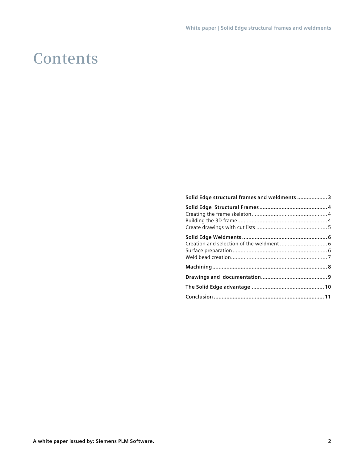### **Contents**

| Solid Edge structural frames and weldments  3 |  |
|-----------------------------------------------|--|
|                                               |  |
|                                               |  |
|                                               |  |
|                                               |  |
|                                               |  |
|                                               |  |
|                                               |  |
|                                               |  |
|                                               |  |
|                                               |  |
|                                               |  |
|                                               |  |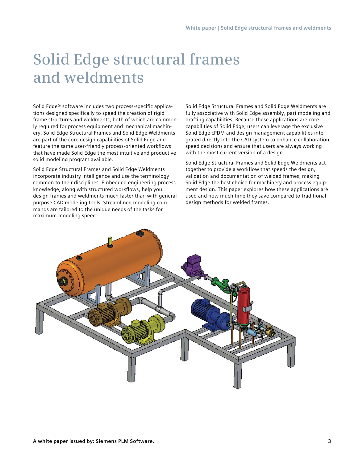## **Solid Edge structural frames and weldments**

Solid Edge® software includes two process-specific applications designed specifically to speed the creation of rigid frame structures and weldments, both of which are commonly required for process equipment and mechanical machinery. Solid Edge Structural Frames and Solid Edge Weldments are part of the core design capabilities of Solid Edge and feature the same user-friendly process-oriented workflows that have made Solid Edge the most intuitive and productive solid modeling program available.

Solid Edge Structural Frames and Solid Edge Weldments incorporate industry intelligence and use the terminology common to their disciplines. Embedded engineering process knowledge, along with structured workflows, help you design frames and weldments much faster than with generalpurpose CAD modeling tools. Streamlined modeling commands are tailored to the unique needs of the tasks for maximum modeling speed.

Solid Edge Structural Frames and Solid Edge Weldments are fully associative with Solid Edge assembly, part modeling and drafting capabilities. Because these applications are core capabilities of Solid Edge, users can leverage the exclusive Solid Edge cPDM and design management capabilities integrated directly into the CAD system to enhance collaboration, speed decisions and ensure that users are always working with the most current version of a design.

Solid Edge Structural Frames and Solid Edge Weldments act together to provide a workflow that speeds the design, validation and documentation of welded frames, making Solid Edge the best choice for machinery and process equipment design. This paper explores how these applications are used and how much time they save compared to traditional design methods for welded frames.

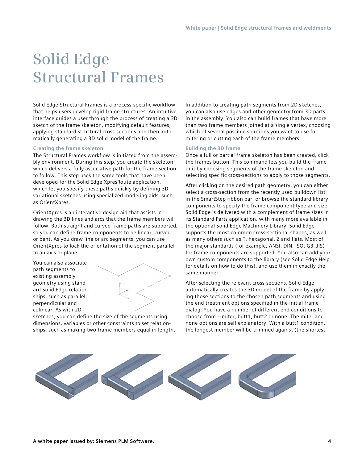### **Solid Edge Structural Frames**

Solid Edge Structural Frames is a process-specific workflow that helps users develop rigid frame structures. An intuitive interface guides a user through the process of creating a 3D sketch of the frame skeleton, modifying default features, applying standard structural cross-sections and then automatically generating a 3D solid model of the frame.

#### **Creating the frame skeleton**

The Structural Frames workflow is initiated from the assembly environment. During this step, you create the skeleton, which delivers a fully associative path for the frame section to follow. This step uses the same tools that have been developed for the Solid Edge XpresRoute application, which let you specify these paths quickly by defining 3D variational sketches using specialized modeling aids, such as OrientXpres.

OrientXpres is an interactive design aid that assists in drawing the 3D lines and arcs that the frame members will follow. Both straight and curved frame paths are supported, so you can define frame components to be linear, curved or bent. As you draw line or arc segments, you can use OrientXpres to lock the orientation of the segment parallel to an axis or plane.

You can also associate path segments to existing assembly geometry using standard Solid Edge relationships, such as parallel, perpendicular and colinear. As with 2D



sketches, you can define the size of the segments using dimensions, variables or other constraints to set relationships, such as making two frame members equal in length.

In addition to creating path segments from 2D sketches, you can also use edges and other geometry from 3D parts in the assembly. You also can build frames that have more than two frame members joined at a single vertex, choosing which of several possible solutions you want to use for mitering or cutting each of the frame members.

#### **Building the 3D frame**

Once a full or partial frame skeleton has been created, click the frames button. This command lets you build the frame unit by choosing segments of the frame skeleton and selecting specific cross-sections to apply to those segments.

After clicking on the desired path geometry, you can either select a cross-section from the recently used pulldown list in the SmartStep ribbon bar, or browse the standard library components to specify the frame component type and size. Solid Edge is delivered with a complement of frame sizes in its Standard Parts application, with many more available in the optional Solid Edge Machinery Library. Solid Edge supports the most common cross-sectional shapes, as well as many others such as T, hexagonal, Z and flats. Most of the major standards (for example, ANSI, DIN, ISO, GB, JIS) for frame components are supported. You also can add your own custom components to the library (see Solid Edge Help for details on how to do this), and use them in exactly the same manner.

After selecting the relevant cross-sections, Solid Edge automatically creates the 3D model of the frame by applying those sections to the chosen path segments and using the end treatment options specified in the initial frame dialog. You have a number of different end conditions to choose from – miter, butt1, butt2 or none. The miter and none options are self explanatory. With a butt1 condition, the longest member will be trimmed against (the shortest

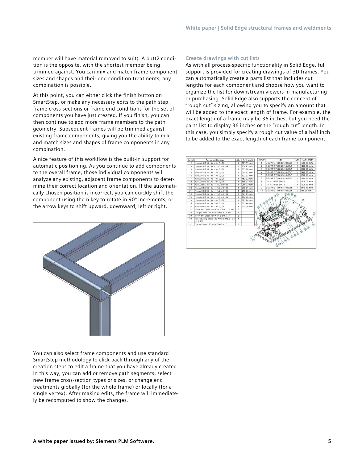member will have material removed to suit). A butt2 condition is the opposite, with the shortest member being trimmed against. You can mix and match frame component sizes and shapes and their end condition treatments; any combination is possible.

At this point, you can either click the finish button on SmartStep, or make any necessary edits to the path step, frame cross-sections or frame end conditions for the set of components you have just created. If you finish, you can then continue to add more frame members to the path geometry. Subsequent frames will be trimmed against existing frame components, giving you the ability to mix and match sizes and shapes of frame components in any combination.

A nice feature of this workflow is the built-in support for automatic positioning. As you continue to add components to the overall frame, those individual components will analyze any existing, adjacent frame components to determine their correct location and orientation. If the automatically chosen position is incorrect, you can quickly shift the component using the n key to rotate in 90º increments, or the arrow keys to shift upward, downward, left or right.



You can also select frame components and use standard SmartStep methodology to click back through any of the creation steps to edit a frame that you have already created. In this way, you can add or remove path segments, select new frame cross-section types or sizes, or change end treatments globally (for the whole frame) or locally (for a single vertex). After making edits, the frame will immediately be recomputed to show the changes.

### **Create drawings with cut lists**

As with all process-specific functionality in Solid Edge, full support is provided for creating drawings of 3D frames. You can automatically create a parts list that includes cut lengths for each component and choose how you want to organize the list for downstream viewers in manufacturing or purchasing. Solid Edge also supports the concept of "rough cut" sizing, allowing you to specify an amount that will be added to the exact length of frame. For example, the exact length of a frame may be 36 inches, but you need the parts list to display 36 inches or the "rough cut" length. In this case, you simply specify a rough cut value of a half inch to be added to the exact length of each frame component.

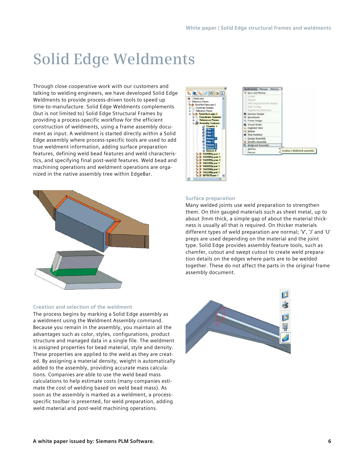### **Solid Edge Weldments**

Through close cooperative work with our customers and talking to welding engineers, we have developed Solid Edge Weldments to provide process-driven tools to speed up time-to-manufacture. Solid Edge Weldments complements (but is not limited to) Solid Edge Structural Frames by providing a process-specific workflow for the efficient construction of weldments, using a frame assembly document as input. A weldment is started directly within a Solid Edge assembly where process-specific tools are used to add true weldment information, adding surface preparation features, defining weld bead features and weld characteristics, and specifying final post-weld features. Weld bead and machining operations and weldment operations are organized in the native assembly tree within EdgeBar.



#### **Creation and selection of the weldment**

The process begins by marking a Solid Edge assembly as a weldment using the Weldment Assembly command. Because you remain in the assembly, you maintain all the advantages such as color, styles, configurations, product structure and managed data in a single file. The weldment is assigned properties for bead material, style and density. These properties are applied to the weld as they are created. By assigning a material density, weight is automatically added to the assembly, providing accurate mass calculations. Companies are able to use the weld bead mass calculations to help estimate costs (many companies estimate the cost of welding based on weld bead mass). As soon as the assembly is marked as a weldment, a processspecific toolbar is presented, for weld preparation, adding weld material and post-weld machining operations.





#### **Surface preparation**

Many welded joints use weld preparation to strengthen them. On thin gauged materials such as sheet metal, up to about 3mm thick, a simple gap of about the material thickness is usually all that is required. On thicker materials different types of weld preparation are normal; 'V', 'J' and 'U' preps are used depending on the material and the joint type. Solid Edge provides assembly feature tools, such as chamfer, cutout and swept cutout to create weld preparation details on the edges where parts are to be welded together. These do not affect the parts in the original frame assembly document.

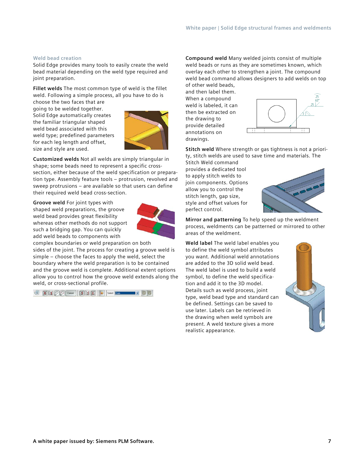### **Weld bead creation**

Solid Edge provides many tools to easily create the weld bead material depending on the weld type required and joint preparation.

**Fillet welds** The most common type of weld is the fillet weld. Following a simple process, all you have to do is

choose the two faces that are going to be welded together. Solid Edge automatically creates the familiar triangular shaped weld bead associated with this weld type; predefined parameters for each leg length and offset, size and style are used.



**Customized welds** Not all welds are simply triangular in shape; some beads need to represent a specific crosssection, either because of the weld specification or preparation type. Assembly feature tools – protrusion, revolved and sweep protrusions – are available so that users can define their required weld bead cross-section.

**Groove weld** For joint types with shaped weld preparations, the groove weld bead provides great flexibility whereas other methods do not support such a bridging gap. You can quickly add weld beads to components with



complex boundaries or weld preparation on both sides of the joint. The process for creating a groove weld is simple – choose the faces to apply the weld, select the boundary where the weld preparation is to be contained and the groove weld is complete. Additional extent options allow you to control how the groove weld extends along the weld, or cross-sectional profile.

**a [1] [1]**  $\bigcirc$   $\bigcirc$  **Cancel**  $\bigcirc$  **[1]** [1]  $\bigcirc$   $\bigcirc$   $\bigcirc$  **Select**  $\bigcirc$  **Examples** 

**Compound weld** Many welded joints consist of multiple weld beads or runs as they are sometimes known, which overlay each other to strengthen a joint. The compound weld bead command allows designers to add welds on top of other weld beads,

and then label them. When a compound weld is labeled, it can then be extracted on the drawing to provide detailed annotations on drawings.



**Stitch weld** Where strength or gas tightness is not a priority, stitch welds are used to save time and materials. The

Stitch Weld command provides a dedicated tool to apply stitch welds to join components. Options allow you to control the stitch length, gap size, style and offset values for perfect control.



**Mirror and patterning** To help speed up the weldment process, weldments can be patterned or mirrored to other areas of the weldment.

**Weld label** The weld label enables you to define the weld symbol attributes you want. Additional weld annotations are added to the 3D solid weld bead. The weld label is used to build a weld symbol, to define the weld specification and add it to the 3D model. Details such as weld process, joint type, weld bead type and standard can be defined. Settings can be saved to use later. Labels can be retrieved in the drawing when weld symbols are present. A weld texture gives a more realistic appearance.

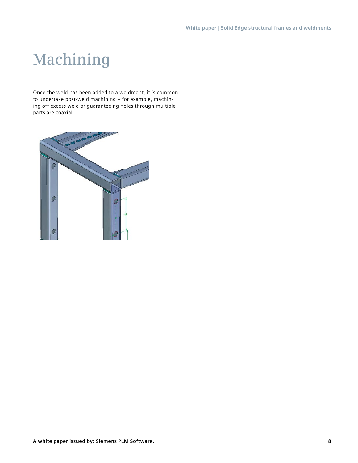## **Machining**

Once the weld has been added to a weldment, it is common to undertake post-weld machining – for example, machining off excess weld or guaranteeing holes through multiple parts are coaxial.

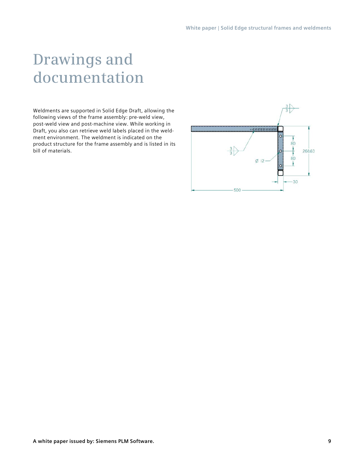### **Drawings and documentation**

Weldments are supported in Solid Edge Draft, allowing the following views of the frame assembly: pre-weld view, post-weld view and post-machine view. While working in Draft, you also can retrieve weld labels placed in the weldment environment. The weldment is indicated on the product structure for the frame assembly and is listed in its bill of materials.

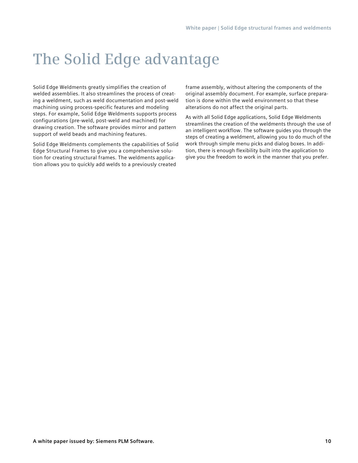### **The Solid Edge advantage**

Solid Edge Weldments greatly simplifies the creation of welded assemblies. It also streamlines the process of creating a weldment, such as weld documentation and post-weld machining using process-specific features and modeling steps. For example, Solid Edge Weldments supports process configurations (pre-weld, post-weld and machined) for drawing creation. The software provides mirror and pattern support of weld beads and machining features.

Solid Edge Weldments complements the capabilities of Solid Edge Structural Frames to give you a comprehensive solution for creating structural frames. The weldments application allows you to quickly add welds to a previously created

frame assembly, without altering the components of the original assembly document. For example, surface preparation is done within the weld environment so that these alterations do not affect the original parts.

As with all Solid Edge applications, Solid Edge Weldments streamlines the creation of the weldments through the use of an intelligent workflow. The software guides you through the steps of creating a weldment, allowing you to do much of the work through simple menu picks and dialog boxes. In addition, there is enough flexibility built into the application to give you the freedom to work in the manner that you prefer.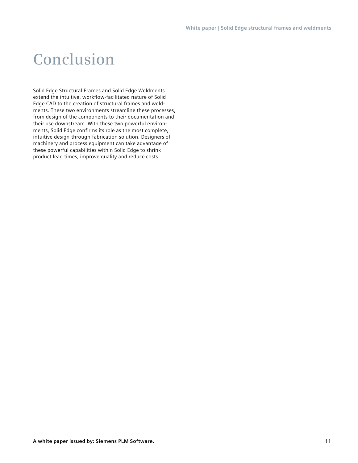### **Conclusion**

Solid Edge Structural Frames and Solid Edge Weldments extend the intuitive, workflow-facilitated nature of Solid Edge CAD to the creation of structural frames and weldments. These two environments streamline these processes, from design of the components to their documentation and their use downstream. With these two powerful environments, Solid Edge confirms its role as the most complete, intuitive design-through-fabrication solution. Designers of machinery and process equipment can take advantage of these powerful capabilities within Solid Edge to shrink product lead times, improve quality and reduce costs.